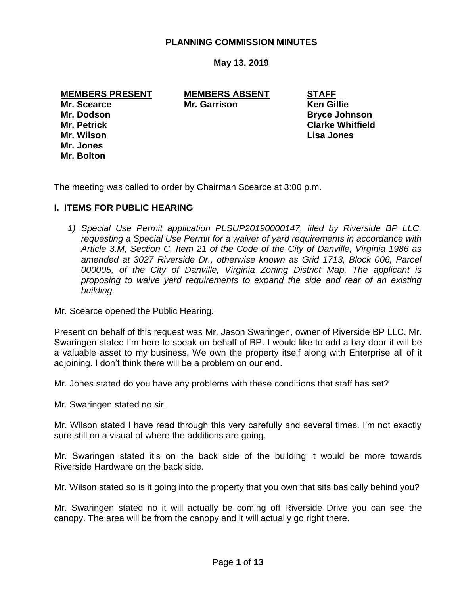### **PLANNING COMMISSION MINUTES**

**May 13, 2019**

**MEMBERS PRESENT MEMBERS ABSENT STAFF**

**Mr. Wilson Lisa Jones Mr. Jones Mr. Bolton**

**Mr. Scearce Mr. Garrison Ken Gillie**

**Mr. Dodson Bryce Johnson Mr. Petrick Clarke Whitfield**

The meeting was called to order by Chairman Scearce at 3:00 p.m.

#### **I. ITEMS FOR PUBLIC HEARING**

*1) Special Use Permit application PLSUP20190000147, filed by Riverside BP LLC, requesting a Special Use Permit for a waiver of yard requirements in accordance with Article 3.M, Section C, Item 21 of the Code of the City of Danville, Virginia 1986 as amended at 3027 Riverside Dr., otherwise known as Grid 1713, Block 006, Parcel 000005, of the City of Danville, Virginia Zoning District Map. The applicant is proposing to waive yard requirements to expand the side and rear of an existing building.*

Mr. Scearce opened the Public Hearing.

Present on behalf of this request was Mr. Jason Swaringen, owner of Riverside BP LLC. Mr. Swaringen stated I'm here to speak on behalf of BP. I would like to add a bay door it will be a valuable asset to my business. We own the property itself along with Enterprise all of it adjoining. I don't think there will be a problem on our end.

Mr. Jones stated do you have any problems with these conditions that staff has set?

Mr. Swaringen stated no sir.

Mr. Wilson stated I have read through this very carefully and several times. I'm not exactly sure still on a visual of where the additions are going.

Mr. Swaringen stated it's on the back side of the building it would be more towards Riverside Hardware on the back side.

Mr. Wilson stated so is it going into the property that you own that sits basically behind you?

Mr. Swaringen stated no it will actually be coming off Riverside Drive you can see the canopy. The area will be from the canopy and it will actually go right there.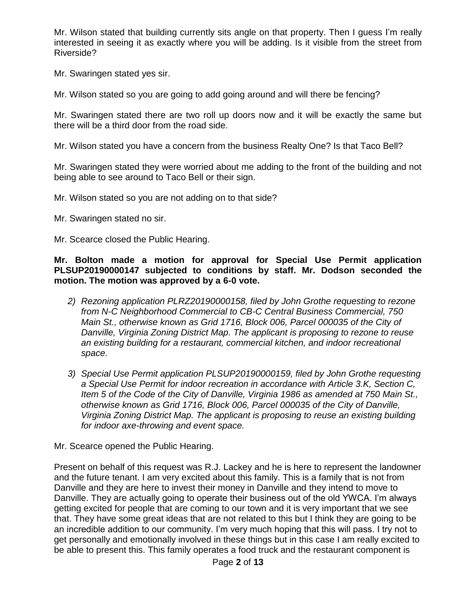Mr. Wilson stated that building currently sits angle on that property. Then I guess I'm really interested in seeing it as exactly where you will be adding. Is it visible from the street from Riverside?

Mr. Swaringen stated yes sir.

Mr. Wilson stated so you are going to add going around and will there be fencing?

Mr. Swaringen stated there are two roll up doors now and it will be exactly the same but there will be a third door from the road side.

Mr. Wilson stated you have a concern from the business Realty One? Is that Taco Bell?

Mr. Swaringen stated they were worried about me adding to the front of the building and not being able to see around to Taco Bell or their sign.

Mr. Wilson stated so you are not adding on to that side?

Mr. Swaringen stated no sir.

Mr. Scearce closed the Public Hearing.

**Mr. Bolton made a motion for approval for Special Use Permit application PLSUP20190000147 subjected to conditions by staff. Mr. Dodson seconded the motion. The motion was approved by a 6-0 vote.**

- *2) Rezoning application PLRZ20190000158, filed by John Grothe requesting to rezone from N-C Neighborhood Commercial to CB-C Central Business Commercial, 750 Main St., otherwise known as Grid 1716, Block 006, Parcel 000035 of the City of Danville, Virginia Zoning District Map. The applicant is proposing to rezone to reuse an existing building for a restaurant, commercial kitchen, and indoor recreational space.*
- *3) Special Use Permit application PLSUP20190000159, filed by John Grothe requesting a Special Use Permit for indoor recreation in accordance with Article 3.K, Section C, Item 5 of the Code of the City of Danville, Virginia 1986 as amended at 750 Main St., otherwise known as Grid 1716, Block 006, Parcel 000035 of the City of Danville, Virginia Zoning District Map. The applicant is proposing to reuse an existing building for indoor axe-throwing and event space.*

Mr. Scearce opened the Public Hearing.

Present on behalf of this request was R.J. Lackey and he is here to represent the landowner and the future tenant. I am very excited about this family. This is a family that is not from Danville and they are here to invest their money in Danville and they intend to move to Danville. They are actually going to operate their business out of the old YWCA. I'm always getting excited for people that are coming to our town and it is very important that we see that. They have some great ideas that are not related to this but I think they are going to be an incredible addition to our community. I'm very much hoping that this will pass. I try not to get personally and emotionally involved in these things but in this case I am really excited to be able to present this. This family operates a food truck and the restaurant component is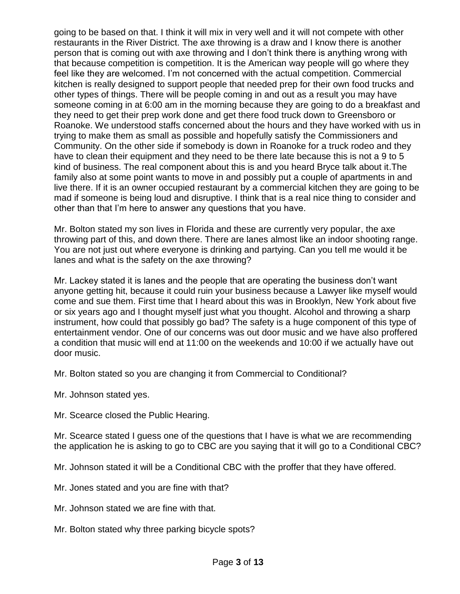going to be based on that. I think it will mix in very well and it will not compete with other restaurants in the River District. The axe throwing is a draw and I know there is another person that is coming out with axe throwing and I don't think there is anything wrong with that because competition is competition. It is the American way people will go where they feel like they are welcomed. I'm not concerned with the actual competition. Commercial kitchen is really designed to support people that needed prep for their own food trucks and other types of things. There will be people coming in and out as a result you may have someone coming in at 6:00 am in the morning because they are going to do a breakfast and they need to get their prep work done and get there food truck down to Greensboro or Roanoke. We understood staffs concerned about the hours and they have worked with us in trying to make them as small as possible and hopefully satisfy the Commissioners and Community. On the other side if somebody is down in Roanoke for a truck rodeo and they have to clean their equipment and they need to be there late because this is not a 9 to 5 kind of business. The real component about this is and you heard Bryce talk about it.The family also at some point wants to move in and possibly put a couple of apartments in and live there. If it is an owner occupied restaurant by a commercial kitchen they are going to be mad if someone is being loud and disruptive. I think that is a real nice thing to consider and other than that I'm here to answer any questions that you have.

Mr. Bolton stated my son lives in Florida and these are currently very popular, the axe throwing part of this, and down there. There are lanes almost like an indoor shooting range. You are not just out where everyone is drinking and partying. Can you tell me would it be lanes and what is the safety on the axe throwing?

Mr. Lackey stated it is lanes and the people that are operating the business don't want anyone getting hit, because it could ruin your business because a Lawyer like myself would come and sue them. First time that I heard about this was in Brooklyn, New York about five or six years ago and I thought myself just what you thought. Alcohol and throwing a sharp instrument, how could that possibly go bad? The safety is a huge component of this type of entertainment vendor. One of our concerns was out door music and we have also proffered a condition that music will end at 11:00 on the weekends and 10:00 if we actually have out door music.

Mr. Bolton stated so you are changing it from Commercial to Conditional?

- Mr. Johnson stated yes.
- Mr. Scearce closed the Public Hearing.

Mr. Scearce stated I guess one of the questions that I have is what we are recommending the application he is asking to go to CBC are you saying that it will go to a Conditional CBC?

Mr. Johnson stated it will be a Conditional CBC with the proffer that they have offered.

- Mr. Jones stated and you are fine with that?
- Mr. Johnson stated we are fine with that.
- Mr. Bolton stated why three parking bicycle spots?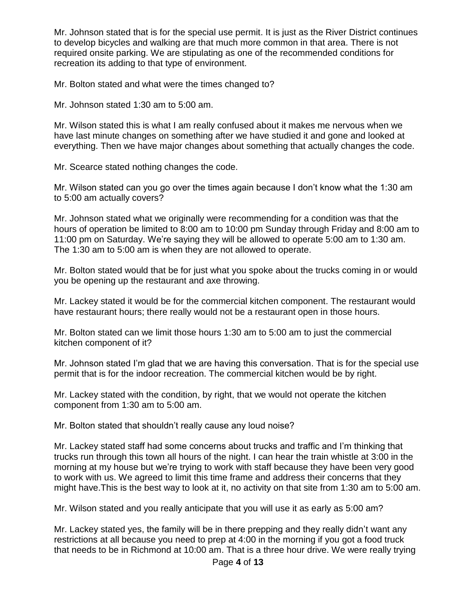Mr. Johnson stated that is for the special use permit. It is just as the River District continues to develop bicycles and walking are that much more common in that area. There is not required onsite parking. We are stipulating as one of the recommended conditions for recreation its adding to that type of environment.

Mr. Bolton stated and what were the times changed to?

Mr. Johnson stated 1:30 am to 5:00 am.

Mr. Wilson stated this is what I am really confused about it makes me nervous when we have last minute changes on something after we have studied it and gone and looked at everything. Then we have major changes about something that actually changes the code.

Mr. Scearce stated nothing changes the code.

Mr. Wilson stated can you go over the times again because I don't know what the 1:30 am to 5:00 am actually covers?

Mr. Johnson stated what we originally were recommending for a condition was that the hours of operation be limited to 8:00 am to 10:00 pm Sunday through Friday and 8:00 am to 11:00 pm on Saturday. We're saying they will be allowed to operate 5:00 am to 1:30 am. The 1:30 am to 5:00 am is when they are not allowed to operate.

Mr. Bolton stated would that be for just what you spoke about the trucks coming in or would you be opening up the restaurant and axe throwing.

Mr. Lackey stated it would be for the commercial kitchen component. The restaurant would have restaurant hours; there really would not be a restaurant open in those hours.

Mr. Bolton stated can we limit those hours 1:30 am to 5:00 am to just the commercial kitchen component of it?

Mr. Johnson stated I'm glad that we are having this conversation. That is for the special use permit that is for the indoor recreation. The commercial kitchen would be by right.

Mr. Lackey stated with the condition, by right, that we would not operate the kitchen component from 1:30 am to 5:00 am.

Mr. Bolton stated that shouldn't really cause any loud noise?

Mr. Lackey stated staff had some concerns about trucks and traffic and I'm thinking that trucks run through this town all hours of the night. I can hear the train whistle at 3:00 in the morning at my house but we're trying to work with staff because they have been very good to work with us. We agreed to limit this time frame and address their concerns that they might have.This is the best way to look at it, no activity on that site from 1:30 am to 5:00 am.

Mr. Wilson stated and you really anticipate that you will use it as early as 5:00 am?

Mr. Lackey stated yes, the family will be in there prepping and they really didn't want any restrictions at all because you need to prep at 4:00 in the morning if you got a food truck that needs to be in Richmond at 10:00 am. That is a three hour drive. We were really trying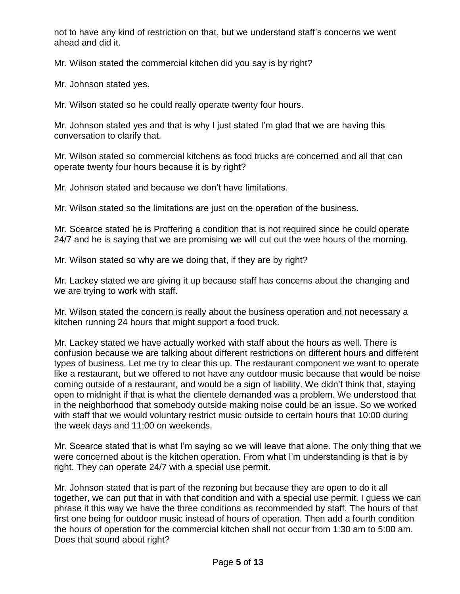not to have any kind of restriction on that, but we understand staff's concerns we went ahead and did it.

Mr. Wilson stated the commercial kitchen did you say is by right?

Mr. Johnson stated yes.

Mr. Wilson stated so he could really operate twenty four hours.

Mr. Johnson stated yes and that is why I just stated I'm glad that we are having this conversation to clarify that.

Mr. Wilson stated so commercial kitchens as food trucks are concerned and all that can operate twenty four hours because it is by right?

Mr. Johnson stated and because we don't have limitations.

Mr. Wilson stated so the limitations are just on the operation of the business.

Mr. Scearce stated he is Proffering a condition that is not required since he could operate 24/7 and he is saying that we are promising we will cut out the wee hours of the morning.

Mr. Wilson stated so why are we doing that, if they are by right?

Mr. Lackey stated we are giving it up because staff has concerns about the changing and we are trying to work with staff.

Mr. Wilson stated the concern is really about the business operation and not necessary a kitchen running 24 hours that might support a food truck.

Mr. Lackey stated we have actually worked with staff about the hours as well. There is confusion because we are talking about different restrictions on different hours and different types of business. Let me try to clear this up. The restaurant component we want to operate like a restaurant, but we offered to not have any outdoor music because that would be noise coming outside of a restaurant, and would be a sign of liability. We didn't think that, staying open to midnight if that is what the clientele demanded was a problem. We understood that in the neighborhood that somebody outside making noise could be an issue. So we worked with staff that we would voluntary restrict music outside to certain hours that 10:00 during the week days and 11:00 on weekends.

Mr. Scearce stated that is what I'm saying so we will leave that alone. The only thing that we were concerned about is the kitchen operation. From what I'm understanding is that is by right. They can operate 24/7 with a special use permit.

Mr. Johnson stated that is part of the rezoning but because they are open to do it all together, we can put that in with that condition and with a special use permit. I guess we can phrase it this way we have the three conditions as recommended by staff. The hours of that first one being for outdoor music instead of hours of operation. Then add a fourth condition the hours of operation for the commercial kitchen shall not occur from 1:30 am to 5:00 am. Does that sound about right?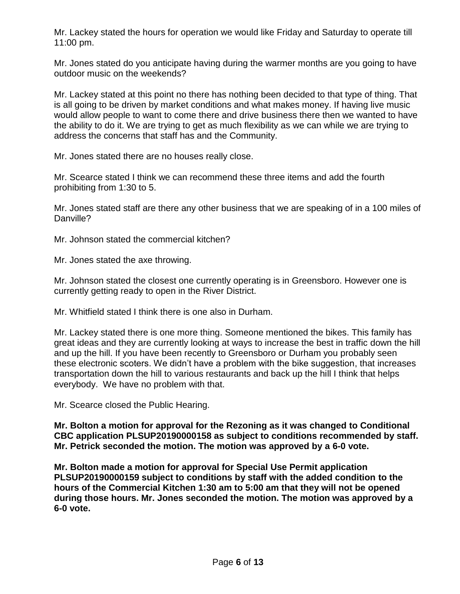Mr. Lackey stated the hours for operation we would like Friday and Saturday to operate till 11:00 pm.

Mr. Jones stated do you anticipate having during the warmer months are you going to have outdoor music on the weekends?

Mr. Lackey stated at this point no there has nothing been decided to that type of thing. That is all going to be driven by market conditions and what makes money. If having live music would allow people to want to come there and drive business there then we wanted to have the ability to do it. We are trying to get as much flexibility as we can while we are trying to address the concerns that staff has and the Community.

Mr. Jones stated there are no houses really close.

Mr. Scearce stated I think we can recommend these three items and add the fourth prohibiting from 1:30 to 5.

Mr. Jones stated staff are there any other business that we are speaking of in a 100 miles of Danville?

Mr. Johnson stated the commercial kitchen?

Mr. Jones stated the axe throwing.

Mr. Johnson stated the closest one currently operating is in Greensboro. However one is currently getting ready to open in the River District.

Mr. Whitfield stated I think there is one also in Durham.

Mr. Lackey stated there is one more thing. Someone mentioned the bikes. This family has great ideas and they are currently looking at ways to increase the best in traffic down the hill and up the hill. If you have been recently to Greensboro or Durham you probably seen these electronic scoters. We didn't have a problem with the bike suggestion, that increases transportation down the hill to various restaurants and back up the hill I think that helps everybody. We have no problem with that.

Mr. Scearce closed the Public Hearing.

**Mr. Bolton a motion for approval for the Rezoning as it was changed to Conditional CBC application PLSUP20190000158 as subject to conditions recommended by staff. Mr. Petrick seconded the motion. The motion was approved by a 6-0 vote.** 

**Mr. Bolton made a motion for approval for Special Use Permit application PLSUP20190000159 subject to conditions by staff with the added condition to the hours of the Commercial Kitchen 1:30 am to 5:00 am that they will not be opened during those hours. Mr. Jones seconded the motion. The motion was approved by a 6-0 vote.**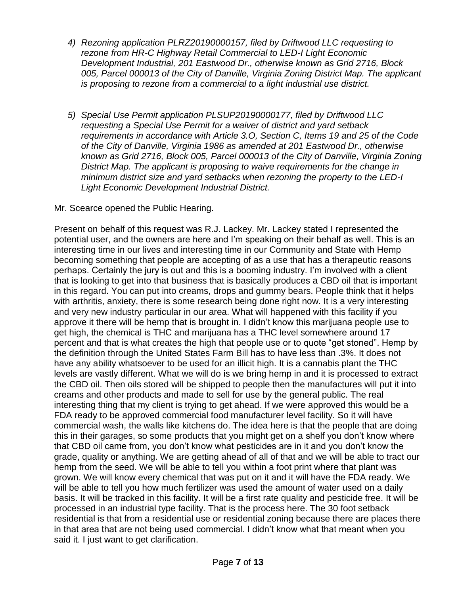- *4) Rezoning application PLRZ20190000157, filed by Driftwood LLC requesting to rezone from HR-C Highway Retail Commercial to LED-I Light Economic Development Industrial, 201 Eastwood Dr., otherwise known as Grid 2716, Block 005, Parcel 000013 of the City of Danville, Virginia Zoning District Map. The applicant is proposing to rezone from a commercial to a light industrial use district.*
- *5) Special Use Permit application PLSUP20190000177, filed by Driftwood LLC requesting a Special Use Permit for a waiver of district and yard setback requirements in accordance with Article 3.O, Section C, Items 19 and 25 of the Code of the City of Danville, Virginia 1986 as amended at 201 Eastwood Dr., otherwise known as Grid 2716, Block 005, Parcel 000013 of the City of Danville, Virginia Zoning District Map. The applicant is proposing to waive requirements for the change in minimum district size and yard setbacks when rezoning the property to the LED-I Light Economic Development Industrial District.*

Mr. Scearce opened the Public Hearing.

Present on behalf of this request was R.J. Lackey. Mr. Lackey stated I represented the potential user, and the owners are here and I'm speaking on their behalf as well. This is an interesting time in our lives and interesting time in our Community and State with Hemp becoming something that people are accepting of as a use that has a therapeutic reasons perhaps. Certainly the jury is out and this is a booming industry. I'm involved with a client that is looking to get into that business that is basically produces a CBD oil that is important in this regard. You can put into creams, drops and gummy bears. People think that it helps with arthritis, anxiety, there is some research being done right now. It is a very interesting and very new industry particular in our area. What will happened with this facility if you approve it there will be hemp that is brought in. I didn't know this marijuana people use to get high, the chemical is THC and marijuana has a THC level somewhere around 17 percent and that is what creates the high that people use or to quote "get stoned". Hemp by the definition through the United States Farm Bill has to have less than .3%. It does not have any ability whatsoever to be used for an illicit high. It is a cannabis plant the THC levels are vastly different. What we will do is we bring hemp in and it is processed to extract the CBD oil. Then oils stored will be shipped to people then the manufactures will put it into creams and other products and made to sell for use by the general public. The real interesting thing that my client is trying to get ahead. If we were approved this would be a FDA ready to be approved commercial food manufacturer level facility. So it will have commercial wash, the walls like kitchens do. The idea here is that the people that are doing this in their garages, so some products that you might get on a shelf you don't know where that CBD oil came from, you don't know what pesticides are in it and you don't know the grade, quality or anything. We are getting ahead of all of that and we will be able to tract our hemp from the seed. We will be able to tell you within a foot print where that plant was grown. We will know every chemical that was put on it and it will have the FDA ready. We will be able to tell you how much fertilizer was used the amount of water used on a daily basis. It will be tracked in this facility. It will be a first rate quality and pesticide free. It will be processed in an industrial type facility. That is the process here. The 30 foot setback residential is that from a residential use or residential zoning because there are places there in that area that are not being used commercial. I didn't know what that meant when you said it. I just want to get clarification.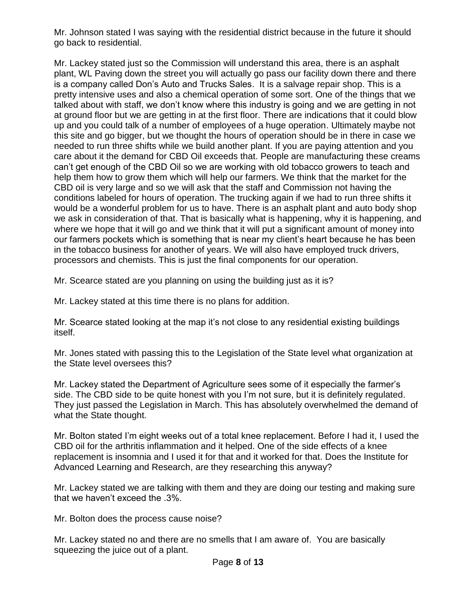Mr. Johnson stated I was saying with the residential district because in the future it should go back to residential.

Mr. Lackey stated just so the Commission will understand this area, there is an asphalt plant, WL Paving down the street you will actually go pass our facility down there and there is a company called Don's Auto and Trucks Sales. It is a salvage repair shop. This is a pretty intensive uses and also a chemical operation of some sort. One of the things that we talked about with staff, we don't know where this industry is going and we are getting in not at ground floor but we are getting in at the first floor. There are indications that it could blow up and you could talk of a number of employees of a huge operation. Ultimately maybe not this site and go bigger, but we thought the hours of operation should be in there in case we needed to run three shifts while we build another plant. If you are paying attention and you care about it the demand for CBD Oil exceeds that. People are manufacturing these creams can't get enough of the CBD Oil so we are working with old tobacco growers to teach and help them how to grow them which will help our farmers. We think that the market for the CBD oil is very large and so we will ask that the staff and Commission not having the conditions labeled for hours of operation. The trucking again if we had to run three shifts it would be a wonderful problem for us to have. There is an asphalt plant and auto body shop we ask in consideration of that. That is basically what is happening, why it is happening, and where we hope that it will go and we think that it will put a significant amount of money into our farmers pockets which is something that is near my client's heart because he has been in the tobacco business for another of years. We will also have employed truck drivers, processors and chemists. This is just the final components for our operation.

Mr. Scearce stated are you planning on using the building just as it is?

Mr. Lackey stated at this time there is no plans for addition.

Mr. Scearce stated looking at the map it's not close to any residential existing buildings itself.

Mr. Jones stated with passing this to the Legislation of the State level what organization at the State level oversees this?

Mr. Lackey stated the Department of Agriculture sees some of it especially the farmer's side. The CBD side to be quite honest with you I'm not sure, but it is definitely regulated. They just passed the Legislation in March. This has absolutely overwhelmed the demand of what the State thought.

Mr. Bolton stated I'm eight weeks out of a total knee replacement. Before I had it, I used the CBD oil for the arthritis inflammation and it helped. One of the side effects of a knee replacement is insomnia and I used it for that and it worked for that. Does the Institute for Advanced Learning and Research, are they researching this anyway?

Mr. Lackey stated we are talking with them and they are doing our testing and making sure that we haven't exceed the .3%.

Mr. Bolton does the process cause noise?

Mr. Lackey stated no and there are no smells that I am aware of. You are basically squeezing the juice out of a plant.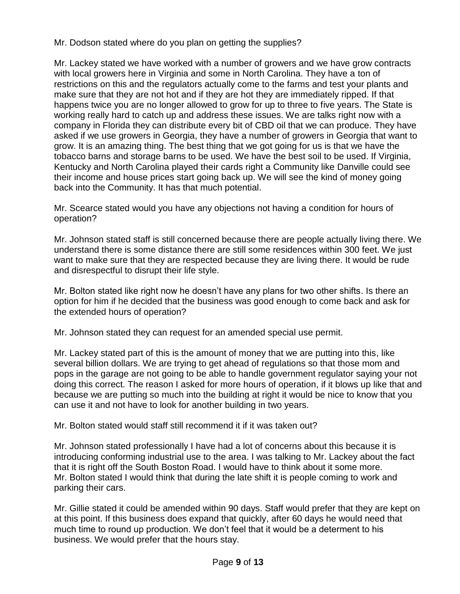Mr. Dodson stated where do you plan on getting the supplies?

Mr. Lackey stated we have worked with a number of growers and we have grow contracts with local growers here in Virginia and some in North Carolina. They have a ton of restrictions on this and the regulators actually come to the farms and test your plants and make sure that they are not hot and if they are hot they are immediately ripped. If that happens twice you are no longer allowed to grow for up to three to five years. The State is working really hard to catch up and address these issues. We are talks right now with a company in Florida they can distribute every bit of CBD oil that we can produce. They have asked if we use growers in Georgia, they have a number of growers in Georgia that want to grow. It is an amazing thing. The best thing that we got going for us is that we have the tobacco barns and storage barns to be used. We have the best soil to be used. If Virginia, Kentucky and North Carolina played their cards right a Community like Danville could see their income and house prices start going back up. We will see the kind of money going back into the Community. It has that much potential.

Mr. Scearce stated would you have any objections not having a condition for hours of operation?

Mr. Johnson stated staff is still concerned because there are people actually living there. We understand there is some distance there are still some residences within 300 feet. We just want to make sure that they are respected because they are living there. It would be rude and disrespectful to disrupt their life style.

Mr. Bolton stated like right now he doesn't have any plans for two other shifts. Is there an option for him if he decided that the business was good enough to come back and ask for the extended hours of operation?

Mr. Johnson stated they can request for an amended special use permit.

Mr. Lackey stated part of this is the amount of money that we are putting into this, like several billion dollars. We are trying to get ahead of regulations so that those mom and pops in the garage are not going to be able to handle government regulator saying your not doing this correct. The reason I asked for more hours of operation, if it blows up like that and because we are putting so much into the building at right it would be nice to know that you can use it and not have to look for another building in two years.

Mr. Bolton stated would staff still recommend it if it was taken out?

Mr. Johnson stated professionally I have had a lot of concerns about this because it is introducing conforming industrial use to the area. I was talking to Mr. Lackey about the fact that it is right off the South Boston Road. I would have to think about it some more. Mr. Bolton stated I would think that during the late shift it is people coming to work and parking their cars.

Mr. Gillie stated it could be amended within 90 days. Staff would prefer that they are kept on at this point. If this business does expand that quickly, after 60 days he would need that much time to round up production. We don't feel that it would be a determent to his business. We would prefer that the hours stay.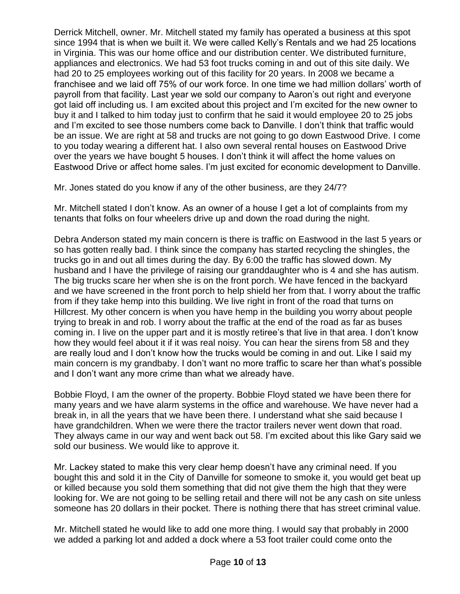Derrick Mitchell, owner. Mr. Mitchell stated my family has operated a business at this spot since 1994 that is when we built it. We were called Kelly's Rentals and we had 25 locations in Virginia. This was our home office and our distribution center. We distributed furniture, appliances and electronics. We had 53 foot trucks coming in and out of this site daily. We had 20 to 25 employees working out of this facility for 20 years. In 2008 we became a franchisee and we laid off 75% of our work force. In one time we had million dollars' worth of payroll from that facility. Last year we sold our company to Aaron's out right and everyone got laid off including us. I am excited about this project and I'm excited for the new owner to buy it and I talked to him today just to confirm that he said it would employee 20 to 25 jobs and I'm excited to see those numbers come back to Danville. I don't think that traffic would be an issue. We are right at 58 and trucks are not going to go down Eastwood Drive. I come to you today wearing a different hat. I also own several rental houses on Eastwood Drive over the years we have bought 5 houses. I don't think it will affect the home values on Eastwood Drive or affect home sales. I'm just excited for economic development to Danville.

Mr. Jones stated do you know if any of the other business, are they 24/7?

Mr. Mitchell stated I don't know. As an owner of a house I get a lot of complaints from my tenants that folks on four wheelers drive up and down the road during the night.

Debra Anderson stated my main concern is there is traffic on Eastwood in the last 5 years or so has gotten really bad. I think since the company has started recycling the shingles, the trucks go in and out all times during the day. By 6:00 the traffic has slowed down. My husband and I have the privilege of raising our granddaughter who is 4 and she has autism. The big trucks scare her when she is on the front porch. We have fenced in the backyard and we have screened in the front porch to help shield her from that. I worry about the traffic from if they take hemp into this building. We live right in front of the road that turns on Hillcrest. My other concern is when you have hemp in the building you worry about people trying to break in and rob. I worry about the traffic at the end of the road as far as buses coming in. I live on the upper part and it is mostly retiree's that live in that area. I don't know how they would feel about it if it was real noisy. You can hear the sirens from 58 and they are really loud and I don't know how the trucks would be coming in and out. Like I said my main concern is my grandbaby. I don't want no more traffic to scare her than what's possible and I don't want any more crime than what we already have.

Bobbie Floyd, I am the owner of the property. Bobbie Floyd stated we have been there for many years and we have alarm systems in the office and warehouse. We have never had a break in, in all the years that we have been there. I understand what she said because I have grandchildren. When we were there the tractor trailers never went down that road. They always came in our way and went back out 58. I'm excited about this like Gary said we sold our business. We would like to approve it.

Mr. Lackey stated to make this very clear hemp doesn't have any criminal need. If you bought this and sold it in the City of Danville for someone to smoke it, you would get beat up or killed because you sold them something that did not give them the high that they were looking for. We are not going to be selling retail and there will not be any cash on site unless someone has 20 dollars in their pocket. There is nothing there that has street criminal value.

Mr. Mitchell stated he would like to add one more thing. I would say that probably in 2000 we added a parking lot and added a dock where a 53 foot trailer could come onto the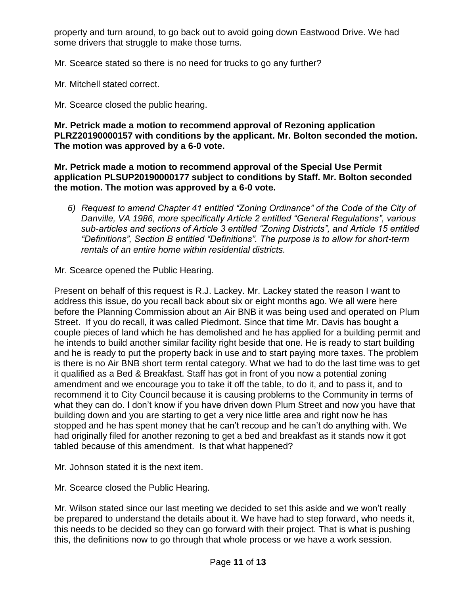property and turn around, to go back out to avoid going down Eastwood Drive. We had some drivers that struggle to make those turns.

Mr. Scearce stated so there is no need for trucks to go any further?

Mr. Mitchell stated correct.

Mr. Scearce closed the public hearing.

**Mr. Petrick made a motion to recommend approval of Rezoning application PLRZ20190000157 with conditions by the applicant. Mr. Bolton seconded the motion. The motion was approved by a 6-0 vote.**

**Mr. Petrick made a motion to recommend approval of the Special Use Permit application PLSUP20190000177 subject to conditions by Staff. Mr. Bolton seconded the motion. The motion was approved by a 6-0 vote.**

*6) Request to amend Chapter 41 entitled "Zoning Ordinance" of the Code of the City of Danville, VA 1986, more specifically Article 2 entitled "General Regulations", various sub-articles and sections of Article 3 entitled "Zoning Districts", and Article 15 entitled "Definitions", Section B entitled "Definitions". The purpose is to allow for short-term rentals of an entire home within residential districts.*

Mr. Scearce opened the Public Hearing.

Present on behalf of this request is R.J. Lackey. Mr. Lackey stated the reason I want to address this issue, do you recall back about six or eight months ago. We all were here before the Planning Commission about an Air BNB it was being used and operated on Plum Street. If you do recall, it was called Piedmont. Since that time Mr. Davis has bought a couple pieces of land which he has demolished and he has applied for a building permit and he intends to build another similar facility right beside that one. He is ready to start building and he is ready to put the property back in use and to start paying more taxes. The problem is there is no Air BNB short term rental category. What we had to do the last time was to get it qualified as a Bed & Breakfast. Staff has got in front of you now a potential zoning amendment and we encourage you to take it off the table, to do it, and to pass it, and to recommend it to City Council because it is causing problems to the Community in terms of what they can do. I don't know if you have driven down Plum Street and now you have that building down and you are starting to get a very nice little area and right now he has stopped and he has spent money that he can't recoup and he can't do anything with. We had originally filed for another rezoning to get a bed and breakfast as it stands now it got tabled because of this amendment. Is that what happened?

Mr. Johnson stated it is the next item.

Mr. Scearce closed the Public Hearing.

Mr. Wilson stated since our last meeting we decided to set this aside and we won't really be prepared to understand the details about it. We have had to step forward, who needs it, this needs to be decided so they can go forward with their project. That is what is pushing this, the definitions now to go through that whole process or we have a work session.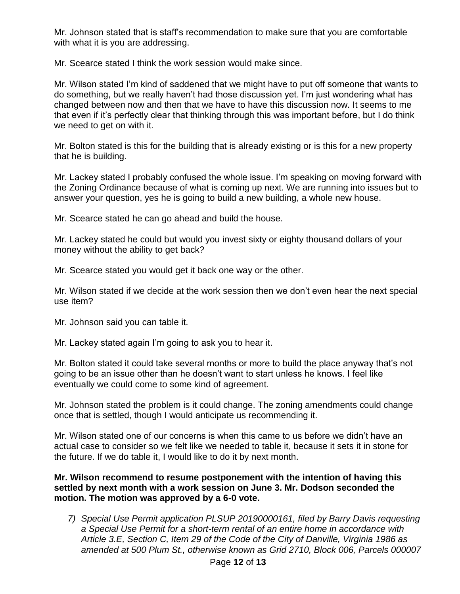Mr. Johnson stated that is staff's recommendation to make sure that you are comfortable with what it is you are addressing.

Mr. Scearce stated I think the work session would make since.

Mr. Wilson stated I'm kind of saddened that we might have to put off someone that wants to do something, but we really haven't had those discussion yet. I'm just wondering what has changed between now and then that we have to have this discussion now. It seems to me that even if it's perfectly clear that thinking through this was important before, but I do think we need to get on with it.

Mr. Bolton stated is this for the building that is already existing or is this for a new property that he is building.

Mr. Lackey stated I probably confused the whole issue. I'm speaking on moving forward with the Zoning Ordinance because of what is coming up next. We are running into issues but to answer your question, yes he is going to build a new building, a whole new house.

Mr. Scearce stated he can go ahead and build the house.

Mr. Lackey stated he could but would you invest sixty or eighty thousand dollars of your money without the ability to get back?

Mr. Scearce stated you would get it back one way or the other.

Mr. Wilson stated if we decide at the work session then we don't even hear the next special use item?

Mr. Johnson said you can table it.

Mr. Lackey stated again I'm going to ask you to hear it.

Mr. Bolton stated it could take several months or more to build the place anyway that's not going to be an issue other than he doesn't want to start unless he knows. I feel like eventually we could come to some kind of agreement.

Mr. Johnson stated the problem is it could change. The zoning amendments could change once that is settled, though I would anticipate us recommending it.

Mr. Wilson stated one of our concerns is when this came to us before we didn't have an actual case to consider so we felt like we needed to table it, because it sets it in stone for the future. If we do table it, I would like to do it by next month.

## **Mr. Wilson recommend to resume postponement with the intention of having this settled by next month with a work session on June 3. Mr. Dodson seconded the motion. The motion was approved by a 6-0 vote.**

*7) Special Use Permit application PLSUP 20190000161, filed by Barry Davis requesting a Special Use Permit for a short-term rental of an entire home in accordance with Article 3.E, Section C, Item 29 of the Code of the City of Danville, Virginia 1986 as amended at 500 Plum St., otherwise known as Grid 2710, Block 006, Parcels 000007*